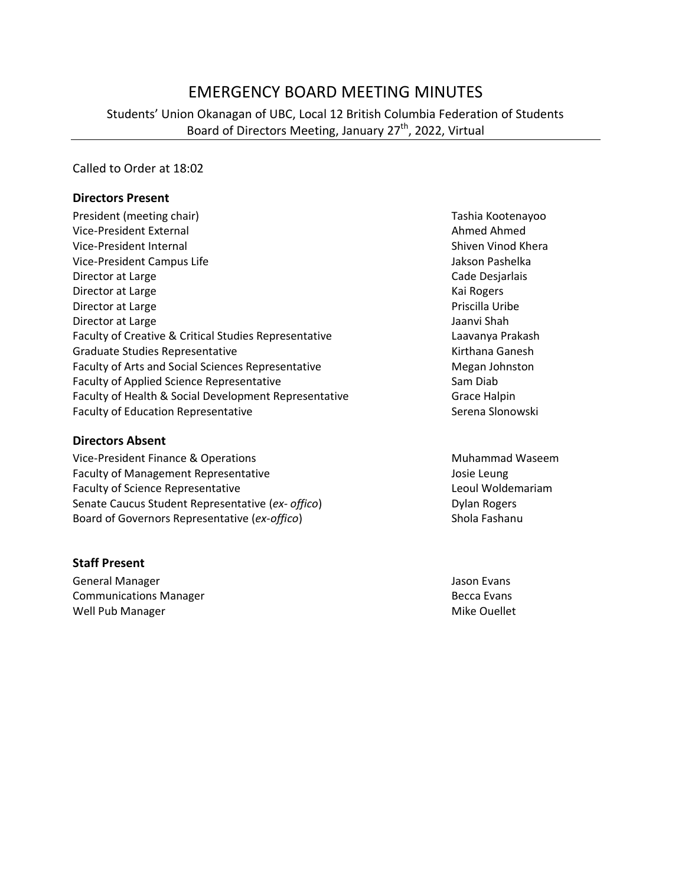# EMERGENCY BOARD MEETING MINUTES

Students' Union Okanagan of UBC, Local 12 British Columbia Federation of Students Board of Directors Meeting, January 27<sup>th</sup>, 2022, Virtual

Called to Order at 18:02

#### **Directors Present**

President (meeting chair) Tashia Kootenayoo Vice-President External Ahmed Ahmed Ahmed Ahmed Ahmed Ahmed Ahmed Ahmed Ahmed Ahmed Ahmed Ahmed Ahmed Ahmed Ahmed Ahmed Ahmed Ahmed Ahmed Ahmed Ahmed Ahmed Ahmed Ahmed Ahmed Ahmed Ahmed Ahmed Ahmed Ahmed Ahmed Ahmed Ahmed Vice-President Internal Shiven Vinod Khera Vice-President Campus Life Jakson Pashelka Director at Large **Cade Desjarlais** Cade Desjarlais Director at Large Kai Rogers and American Control of the Manual Association and American Control of the Manual Association and American Control of the Manual Association and American Control of the Manual Association and A Director at Large **Priscilla Uribe** Priscilla Uribe Priscilla Uribe Priscilla Uribe Priscilla Uribe Priscilla Uribe Director at Large Jaanvi Shah Jaanvi Shah Jaanvi Shah Jaanvi Shah Jaanvi Shah Jaanvi Shah Jaanvi Shah Jaanvi Shah Faculty of Creative & Critical Studies Representative **Lack Critical Studies Representative** Laavanya Prakash Graduate Studies Representative **Kirthana Ganesh** Kirthana Ganesh Faculty of Arts and Social Sciences Representative Megan Johnston Faculty of Applied Science Representative Sam Diab Faculty of Health & Social Development Representative Grace Halpin Faculty of Education Representative **Serena Slonowski** Serena Slonowski

#### **Directors Absent**

Vice-President Finance & Operations Muhammad Waseem Faculty of Management Representative and the Management Representative and the Management Representative Faculty of Science Representative **Leoul Woldemariam** Leoul Woldemariam Senate Caucus Student Representative (ex- offico) Dylan Rogers Board of Governors Representative (*ex-offico*) Shola Fashanu

#### **Staff Present**

General Manager Jason Evans **Communications Manager Becca Evans** Becca Evans Well Pub Manager National Communication of the Mike Ouellet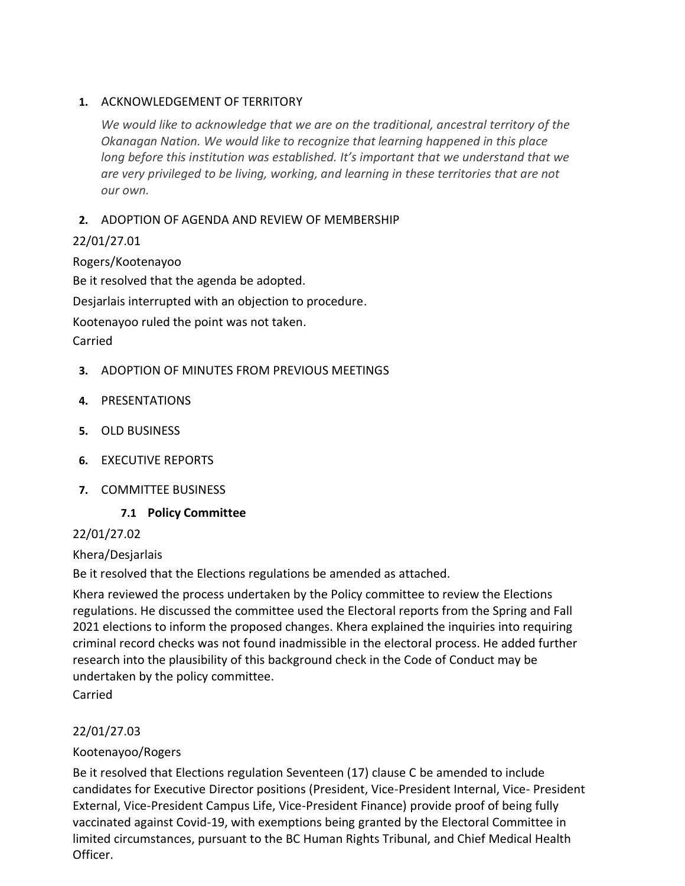### **1.** ACKNOWLEDGEMENT OF TERRITORY

*We would like to acknowledge that we are on the traditional, ancestral territory of the Okanagan Nation. We would like to recognize that learning happened in this place long before this institution was established. It's important that we understand that we are very privileged to be living, working, and learning in these territories that are not our own.*

# **2.** ADOPTION OF AGENDA AND REVIEW OF MEMBERSHIP

# 22/01/27.01

Rogers/Kootenayoo Be it resolved that the agenda be adopted. Desjarlais interrupted with an objection to procedure. Kootenayoo ruled the point was not taken. Carried

- **3.** ADOPTION OF MINUTES FROM PREVIOUS MEETINGS
- **4.** PRESENTATIONS
- **5.** OLD BUSINESS
- **6.** EXECUTIVE REPORTS
- **7.** COMMITTEE BUSINESS

# **7.1 Policy Committee**

### 22/01/27.02

Khera/Desjarlais

Be it resolved that the Elections regulations be amended as attached.

Khera reviewed the process undertaken by the Policy committee to review the Elections regulations. He discussed the committee used the Electoral reports from the Spring and Fall 2021 elections to inform the proposed changes. Khera explained the inquiries into requiring criminal record checks was not found inadmissible in the electoral process. He added further research into the plausibility of this background check in the Code of Conduct may be undertaken by the policy committee.

Carried

# 22/01/27.03

# Kootenayoo/Rogers

Be it resolved that Elections regulation Seventeen (17) clause C be amended to include candidates for Executive Director positions (President, Vice-President Internal, Vice- President External, Vice-President Campus Life, Vice-President Finance) provide proof of being fully vaccinated against Covid-19, with exemptions being granted by the Electoral Committee in limited circumstances, pursuant to the BC Human Rights Tribunal, and Chief Medical Health Officer.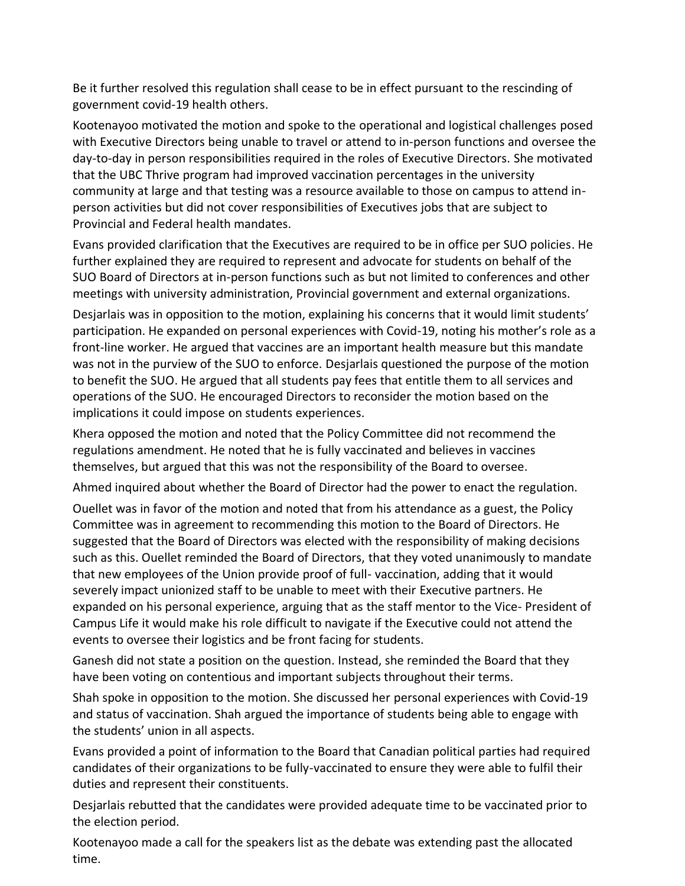Be it further resolved this regulation shall cease to be in effect pursuant to the rescinding of government covid-19 health others.

Kootenayoo motivated the motion and spoke to the operational and logistical challenges posed with Executive Directors being unable to travel or attend to in-person functions and oversee the day-to-day in person responsibilities required in the roles of Executive Directors. She motivated that the UBC Thrive program had improved vaccination percentages in the university community at large and that testing was a resource available to those on campus to attend inperson activities but did not cover responsibilities of Executives jobs that are subject to Provincial and Federal health mandates.

Evans provided clarification that the Executives are required to be in office per SUO policies. He further explained they are required to represent and advocate for students on behalf of the SUO Board of Directors at in-person functions such as but not limited to conferences and other meetings with university administration, Provincial government and external organizations.

Desjarlais was in opposition to the motion, explaining his concerns that it would limit students' participation. He expanded on personal experiences with Covid-19, noting his mother's role as a front-line worker. He argued that vaccines are an important health measure but this mandate was not in the purview of the SUO to enforce. Desjarlais questioned the purpose of the motion to benefit the SUO. He argued that all students pay fees that entitle them to all services and operations of the SUO. He encouraged Directors to reconsider the motion based on the implications it could impose on students experiences.

Khera opposed the motion and noted that the Policy Committee did not recommend the regulations amendment. He noted that he is fully vaccinated and believes in vaccines themselves, but argued that this was not the responsibility of the Board to oversee.

Ahmed inquired about whether the Board of Director had the power to enact the regulation.

Ouellet was in favor of the motion and noted that from his attendance as a guest, the Policy Committee was in agreement to recommending this motion to the Board of Directors. He suggested that the Board of Directors was elected with the responsibility of making decisions such as this. Ouellet reminded the Board of Directors, that they voted unanimously to mandate that new employees of the Union provide proof of full- vaccination, adding that it would severely impact unionized staff to be unable to meet with their Executive partners. He expanded on his personal experience, arguing that as the staff mentor to the Vice- President of Campus Life it would make his role difficult to navigate if the Executive could not attend the events to oversee their logistics and be front facing for students.

Ganesh did not state a position on the question. Instead, she reminded the Board that they have been voting on contentious and important subjects throughout their terms.

Shah spoke in opposition to the motion. She discussed her personal experiences with Covid-19 and status of vaccination. Shah argued the importance of students being able to engage with the students' union in all aspects.

Evans provided a point of information to the Board that Canadian political parties had required candidates of their organizations to be fully-vaccinated to ensure they were able to fulfil their duties and represent their constituents.

Desjarlais rebutted that the candidates were provided adequate time to be vaccinated prior to the election period.

Kootenayoo made a call for the speakers list as the debate was extending past the allocated time.